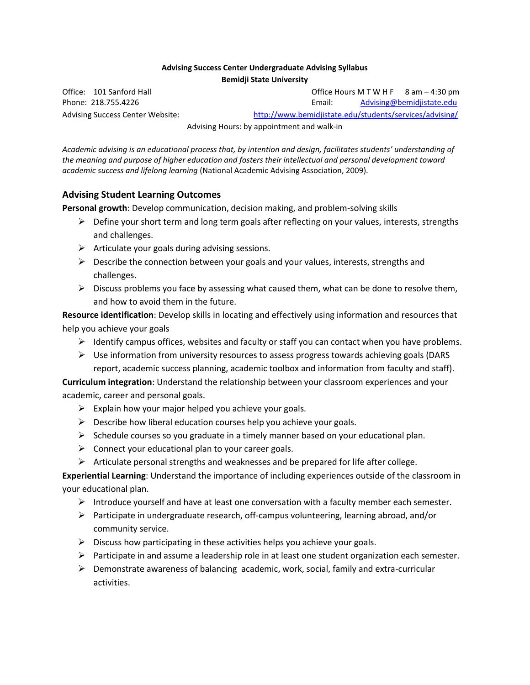#### **Advising Success Center Undergraduate Advising Syllabus Bemidji State University**

Office: 101 Sanford Hall **Office Hours M T W H F** 8 am – 4:30 pm Phone: 218.755.4226 Email: [Advising@bemidjistate.edu](mailto:Advising@bemidjistate.edu) Advising Success Center Website: <http://www.bemidjistate.edu/students/services/advising/>

Advising Hours: by appointment and walk-in

*Academic advising is an educational process that, by intention and design, facilitates students' understanding of the meaning and purpose of higher education and fosters their intellectual and personal development toward academic success and lifelong learning* (National Academic Advising Association, 2009).

## **Advising Student Learning Outcomes**

**Personal growth**: Develop communication, decision making, and problem-solving skills

- $\triangleright$  Define your short term and long term goals after reflecting on your values, interests, strengths and challenges.
- $\triangleright$  Articulate your goals during advising sessions.
- $\triangleright$  Describe the connection between your goals and your values, interests, strengths and challenges.
- $\triangleright$  Discuss problems you face by assessing what caused them, what can be done to resolve them, and how to avoid them in the future.

**Resource identification**: Develop skills in locating and effectively using information and resources that help you achieve your goals

- $\triangleright$  Identify campus offices, websites and faculty or staff you can contact when you have problems.
- $\triangleright$  Use information from university resources to assess progress towards achieving goals (DARS) report, academic success planning, academic toolbox and information from faculty and staff).

**Curriculum integration**: Understand the relationship between your classroom experiences and your academic, career and personal goals.

- $\triangleright$  Explain how your major helped you achieve your goals.
- $\triangleright$  Describe how liberal education courses help you achieve your goals.
- $\triangleright$  Schedule courses so you graduate in a timely manner based on your educational plan.
- $\triangleright$  Connect your educational plan to your career goals.
- $\triangleright$  Articulate personal strengths and weaknesses and be prepared for life after college.

**Experiential Learning**: Understand the importance of including experiences outside of the classroom in your educational plan.

- $\triangleright$  Introduce yourself and have at least one conversation with a faculty member each semester.
- $\triangleright$  Participate in undergraduate research, off-campus volunteering, learning abroad, and/or community service.
- $\triangleright$  Discuss how participating in these activities helps you achieve your goals.
- $\triangleright$  Participate in and assume a leadership role in at least one student organization each semester.
- $\triangleright$  Demonstrate awareness of balancing academic, work, social, family and extra-curricular activities.